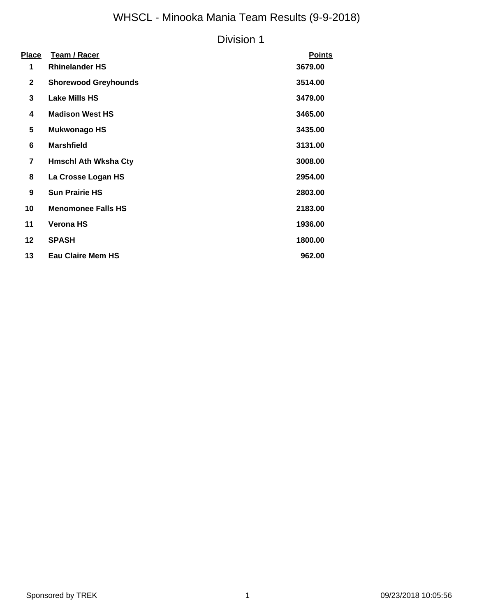# WHSCL - Minooka Mania Team Results (9-9-2018)

### Division 1

| Place        | Team / Racer                | <b>Points</b> |
|--------------|-----------------------------|---------------|
| 1            | <b>Rhinelander HS</b>       | 3679.00       |
| $\mathbf{2}$ | <b>Shorewood Greyhounds</b> | 3514.00       |
| 3            | <b>Lake Mills HS</b>        | 3479.00       |
| 4            | <b>Madison West HS</b>      | 3465.00       |
| 5            | <b>Mukwonago HS</b>         | 3435.00       |
| 6            | <b>Marshfield</b>           | 3131.00       |
| 7            | <b>Hmschl Ath Wksha Cty</b> | 3008.00       |
| 8            | La Crosse Logan HS          | 2954.00       |
| 9            | <b>Sun Prairie HS</b>       | 2803.00       |
| 10           | <b>Menomonee Falls HS</b>   | 2183.00       |
| 11           | <b>Verona HS</b>            | 1936.00       |
| 12           | <b>SPASH</b>                | 1800.00       |
| 13           | <b>Eau Claire Mem HS</b>    | 962.00        |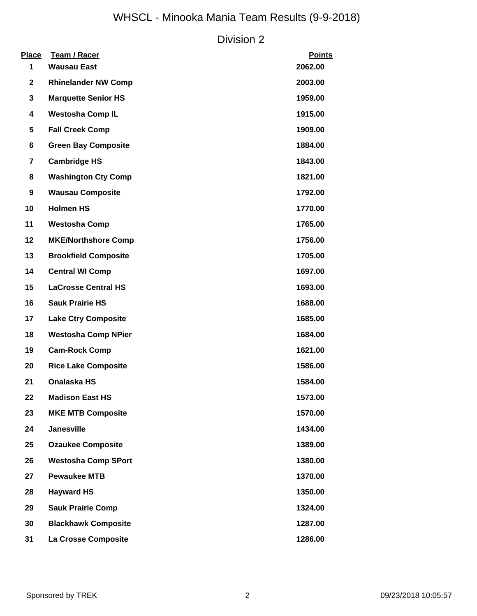# WHSCL - Minooka Mania Team Results (9-9-2018)

### Division 2

| <b>Place</b><br>1 | <b>Team / Racer</b><br><b>Wausau East</b> | <b>Points</b><br>2062.00 |
|-------------------|-------------------------------------------|--------------------------|
| $\mathbf{2}$      | <b>Rhinelander NW Comp</b>                | 2003.00                  |
| 3                 | <b>Marquette Senior HS</b>                | 1959.00                  |
| 4                 | <b>Westosha Comp IL</b>                   | 1915.00                  |
| 5                 | <b>Fall Creek Comp</b>                    | 1909.00                  |
| 6                 | <b>Green Bay Composite</b>                | 1884.00                  |
| $\overline{7}$    | <b>Cambridge HS</b>                       | 1843.00                  |
| 8                 | <b>Washington Cty Comp</b>                | 1821.00                  |
| 9                 | <b>Wausau Composite</b>                   | 1792.00                  |
| 10                | <b>Holmen HS</b>                          | 1770.00                  |
| 11                | <b>Westosha Comp</b>                      | 1765.00                  |
| 12                | <b>MKE/Northshore Comp</b>                | 1756.00                  |
| 13                | <b>Brookfield Composite</b>               | 1705.00                  |
| 14                | <b>Central WI Comp</b>                    | 1697.00                  |
| 15                | <b>LaCrosse Central HS</b>                | 1693.00                  |
| 16                | <b>Sauk Prairie HS</b>                    | 1688.00                  |
| 17                | <b>Lake Ctry Composite</b>                | 1685.00                  |
| 18                | <b>Westosha Comp NPier</b>                | 1684.00                  |
| 19                | <b>Cam-Rock Comp</b>                      | 1621.00                  |
| 20                | <b>Rice Lake Composite</b>                | 1586.00                  |
| 21                | <b>Onalaska HS</b>                        | 1584.00                  |
| 22                | <b>Madison East HS</b>                    | 1573.00                  |
| 23                | <b>MKE MTB Composite</b>                  | 1570.00                  |
| 24                | <b>Janesville</b>                         | 1434.00                  |
| 25                | <b>Ozaukee Composite</b>                  | 1389.00                  |
| 26                | <b>Westosha Comp SPort</b>                | 1380.00                  |
| 27                | <b>Pewaukee MTB</b>                       | 1370.00                  |
| 28                | <b>Hayward HS</b>                         | 1350.00                  |
| 29                | <b>Sauk Prairie Comp</b>                  | 1324.00                  |
| 30                | <b>Blackhawk Composite</b>                | 1287.00                  |
| 31                | La Crosse Composite                       | 1286.00                  |